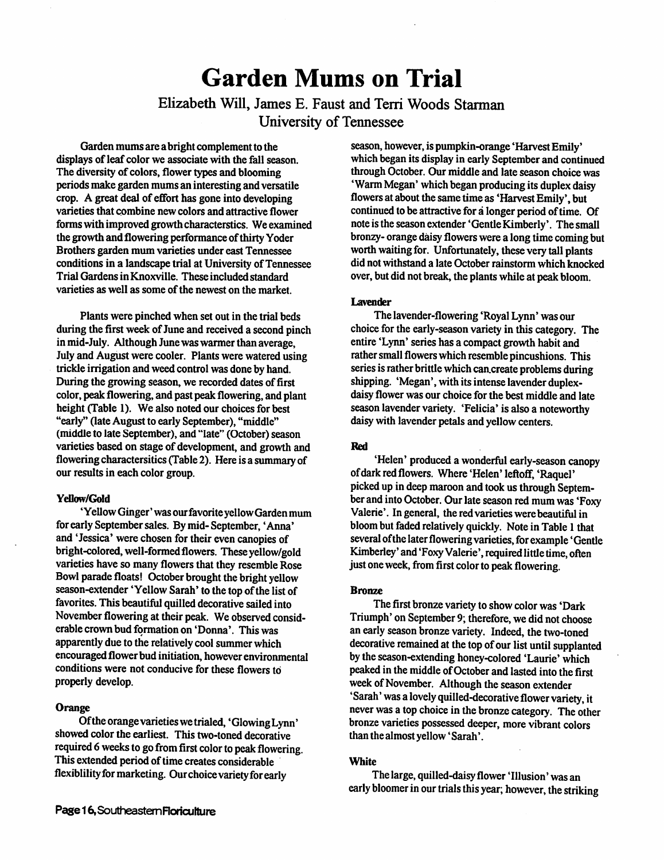# *Garden Mums on Trial*

*Elizabeth Will, James E. Faust and Terri Woods Starman University* of Tennessee

*Garden mums are abright complementto the displays ofleaf color we associate with the fall season. The diversity of colors, flower types and blooming periodsmake garden mums an interesting andversatile crop. A great deal of effort has gone into developing varieties that combine new colors and attractive flower formswith improved growth characterstics. We examined* the growth and flowering performance of thirty Yoder *Brothers garden mum varieties under east Tennessee conditions in a landscape trial at University of Tennessee Trial GardensinKnoxville. These included standard varieties as well as some ofthe newest on the market.*

*Plants were pinched when set out in the trial beds during the first week of June and receiveda second pinch in mid-July. Although Junewaswarmerthanaverage, July and August were cooler. Plantswere wateredusing trickle irrigation and weed control was done by hand. During the growing season, we recorded dates offirst color,peak flowering, and pastpeak flowering, and plant height (Table 1). We also noted our choices for best "early" (late August to early September), "middle" (middle to late September), and "late" (October) season varieties based on stage of development, and growth and flowering charactersitics(Table 2). Here isasummary of our results in each color group.*

## *YeUovv/GoId*

*'Yellow Ginger' was ourfavoriteyellowGardenmum forearlySeptembersales. By mid- September, 'Anna' and 'Jessica' were chosen for their even canopies of bright-colored, well-formed flowers. Theseyellow/gold varieties have so many flowers that they resemble Rose* Bowl parade floats! October brought the bright yellow *season-extender 'Yellow Sarah' to the top ofthe list of favorites. This beautiful quilled decorative sailedinto November flowering at their peak. We observed consid erable crown bud formation on 'Donna'. This was apparentlydue to the relatively cool summer which encouraged flower bud initiation, however environmental conditions were not conducive for these flowers to properly develop.*

#### *Orange*

*Oftheorangevarietieswetrialed, 'GlowingLynn' showed color the earliest. This two-toned decorative required* 6 weeks to go from first color to peak flowering. This extended period of time creates considerable *flexiblility for marketing. Ourchoicevariety for early*

*season, however, is pumpkin-orange'HarvestEmily' which began its display in early September and continued through October. Our middle and late season choice was 'WarmMegan' whichbeganproducing its duplexdaisy flowers atabout the sametime as 'HarvestEmily', but continued* to be attractive for a longer period of time. Of *noteisthe season extender'GentleKimberly'. The small bronzy-orange daisyflowers werealongtime comingbut worth waiting* for. Unfortunately, these very tall plants *did not withstand a late October rainstorm which knocked over,but did not break, the plants while at peak bloom.*

## *Lavender*

*The lavender-flowering 'Royal Lynn' wasour choice for the early-season variety in this category. The* entire 'Lynn' series has a compact growth habit and rather small flowers which resemble pincushions. This *series israther brittlewhichcaacreate problems during* shipping. 'Megan', with its intense lavender duplex*daisy flower was our choice for the best middle and late season lavender variety. 'Felicia' is alsoa noteworthy* daisy with lavender petals and yellow centers.

## *Red*

*'Helen' produced awonderful early-season canopy ofdark red flowers. Where 'Helen' leftoff, 'Raquel' picked upindeep maroon andtookusthrough Septem berand into October. Ourlate season red mumwas 'Foxy Valerie'. In general, the redvarietieswere beautiful in bloombut faded relatively quickly. Notein Table 1that several ofthelaterflowering varieties, forexample'Gentle Kimberley' and'FoxyValerie',required littletime,often just* one week, from first color to peak flowering.

### *Bronze*

*The first bronzevarietyto showcolorwas'Dark Triumph' on September9; therefore,we did not choose an earlyseason bronzevariety. Indeed, the two-toned decorative remained atthetop ofour listuntil supplanted bythe season-extending honey-colored 'Laurie' which peakedin the middle ofOctoberand lasted into the first week of November. Although the season extender 'Sarah' was alovely quilled-decorative flower variety, it never wasa topchoice in the bronzecategory. The other bronze varieties possessed deeper, more vibrant colors than the almost yellow'Sarah'.*

## *White*

*The large,quilled-daisy flower'Illusion' was an early bloomerinourtrialsthis year; however, the striking*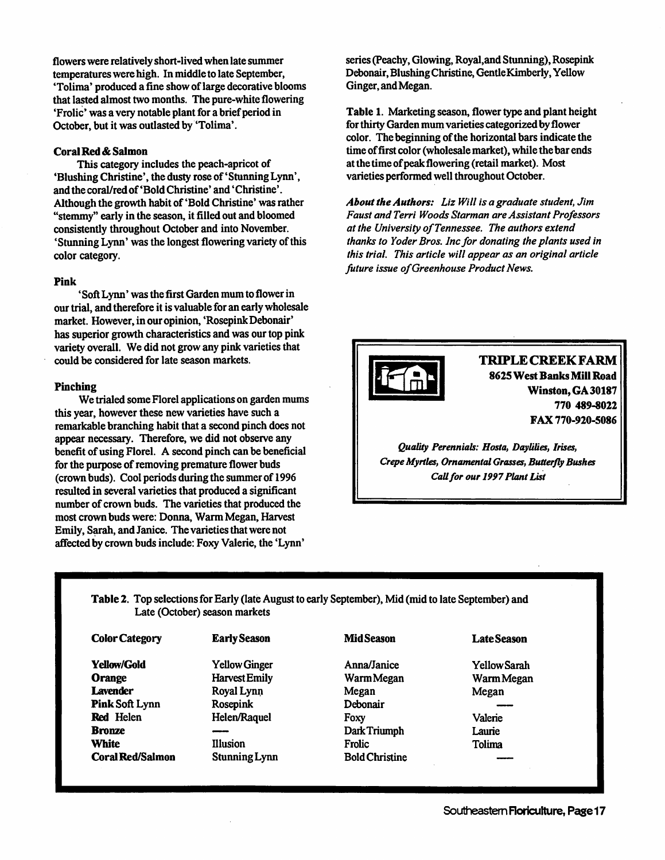flowers were relatively short-lived when late summer temperatures were high. In middle to late September, 'Tolima' produced a fine show of large decorative blooms that lasted almost two months. The pure-white flowering 'Frolic' was a very notable plant for a brief period in October, but it was outlasted by 'Tolima'.

#### *CoralRed& Salmon*

This category includes the peach-apricot of 'Blushing Christine', the dusty rose of'StunningLynn', andthe coral/redof'BoldChristine' and 'Christine'. Although the growth habit of'Bold Christine' was rather "stemmy" early in the season, it filled out and bloomed consistently throughout October and into November. 'Stunning Lynn' was the longest flowering variety of this color category.

#### *Pink*

'Soft Lynn' was the first Garden mum to flower in our trial, and therefore it is valuable for an earlywholesale market. However, in our opinion, 'Rosepink Debonair' has superior growth characteristics and was our top pink variety overall. We did not grow any pink varieties that could be considered for late season markets.

#### *Pinching*

We trialed some Florel applications on garden mums this year, however these new varieties have such a remarkable branching habit that a second pinch does not appear necessary. Therefore, we did not observeany benefit of using Florel. A second pinch can be beneficial for the purpose of removing premature flower buds (crown buds). Cool periods during the summer of1996 resulted in several varieties that produced a significant number of crown buds. The varieties that produced the most crown buds were: Donna, Warm Megan, Harvest Emily, Sarah, and Janice. The varieties that were not affected by crown buds include: Foxy Valerie, the 'Lynn'

series (Peachy, Glowing, Royal, and Stunning), Rosepink Debonair,BlushingChristine, GentleKimberly, Yellow Ginger, and Megan.

*Table 1.* Marketing season, flower type and plant height for thirty Garden mum varieties categorized by flower color. The beginning of the horizontal bars indicate the time of first color (wholesale market), while the bar ends at the time of peak flowering (retail market). Most varieties performed well throughout October.

**About the Authors: Liz Willis a graduate student, Jim Faust and Terri WoodsStarman are Assistant Professors at the University ofTennessee. The authorsextend thanks** to Yoder Bros. Inc for donating the plants used in **this trial. Thisarticle will appear as an original article future issue ofGreenhouse Product News.**



*TRIPLECREEK FARM 8625West Banks Mill Road Winston, GA30187 770 489-8022 FAX 770-920-5086*

*Quality Perennials: Hosta, Daytities, Irises, Crepe Myrtles, Ornamental Grasses,ButterflyBushes Call for our 1997 Plant List* 

**Table 2.** Top selections for Early (late August to early September), Mid (mid to late September) and Late (October) season markets

| <b>Color Category</b>   | <b>Early Season</b>  | <b>Mid Season</b>     | <b>Late Season</b> |
|-------------------------|----------------------|-----------------------|--------------------|
| <b>Yellow/Gold</b>      | <b>Yellow Ginger</b> | Anna/Janice           | Yellow Sarah       |
| Orange                  | <b>Harvest Emily</b> | Warm Megan            | Warm Megan         |
| <b>Lavender</b>         | Royal Lynn           | Megan                 | Megan              |
| <b>Pink Soft Lynn</b>   | Rosepink             | Debonair              |                    |
| Red Helen               | Helen/Raquel         | Foxy                  | Valerie            |
| <b>Bronze</b>           |                      | Dark Triumph          | Laurie             |
| White                   | <b>Illusion</b>      | Frolic                | Tolima             |
| <b>Coral Red/Salmon</b> | <b>Stunning Lynn</b> | <b>Bold Christine</b> |                    |